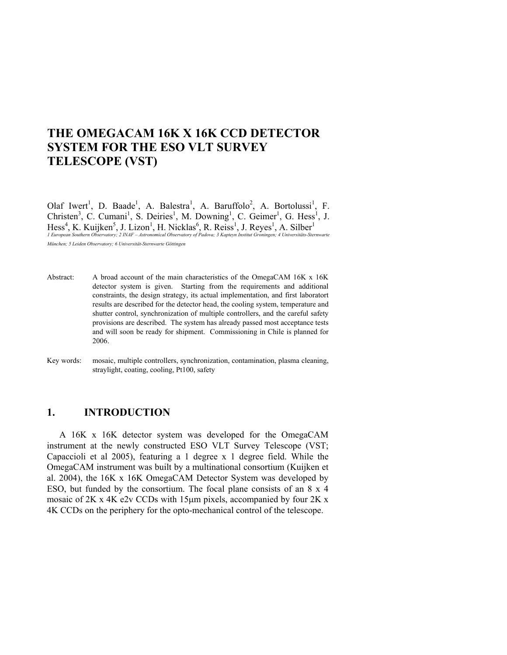# **THE OMEGACAM 16K X 16K CCD DETECTOR SYSTEM FOR THE ESO VLT SURVEY TELESCOPE (VST)**

Olaf Iwert<sup>1</sup>, D. Baade<sup>1</sup>, A. Balestra<sup>1</sup>, A. Baruffolo<sup>2</sup>, A. Bortolussi<sup>1</sup>, F. Christen<sup>3</sup>, C. Cumani<sup>1</sup>, S. Deiries<sup>1</sup>, M. Downing<sup>1</sup>, C. Geimer<sup>1</sup>, G. Hess<sup>1</sup>, J. Hess<sup>4</sup>, K. Kuijken<sup>5</sup>, J. Lizon<sup>1</sup>, H. Nicklas<sup>6</sup>, R. Reiss<sup>1</sup>, J. Reyes<sup>1</sup>, A. Silber<sup>1</sup><br>*1 European Southern Observatory; 2 INAF – Astronomical Observatory of Padova; 3 Kapteyn Institut Groningen; 4 Universitäts-Sternwa* 

*München; 5 Leiden Observatory; 6 Universität-Sternwarte Göttingen* 

- Abstract: A broad account of the main characteristics of the OmegaCAM 16K x 16K detector system is given. Starting from the requirements and additional constraints, the design strategy, its actual implementation, and first laboratort results are described for the detector head, the cooling system, temperature and shutter control, synchronization of multiple controllers, and the careful safety provisions are described. The system has already passed most acceptance tests and will soon be ready for shipment. Commissioning in Chile is planned for 2006.
- Key words: mosaic, multiple controllers, synchronization, contamination, plasma cleaning, straylight, coating, cooling, Pt100, safety

#### **1. INTRODUCTION**

A 16K x 16K detector system was developed for the OmegaCAM instrument at the newly constructed ESO VLT Survey Telescope (VST; Capaccioli et al 2005), featuring a 1 degree x 1 degree field. While the OmegaCAM instrument was built by a multinational consortium (Kuijken et al. 2004), the 16K x 16K OmegaCAM Detector System was developed by ESO, but funded by the consortium. The focal plane consists of an 8 x 4 mosaic of 2K x 4K e2v CCDs with 15µm pixels, accompanied by four 2K x 4K CCDs on the periphery for the opto-mechanical control of the telescope.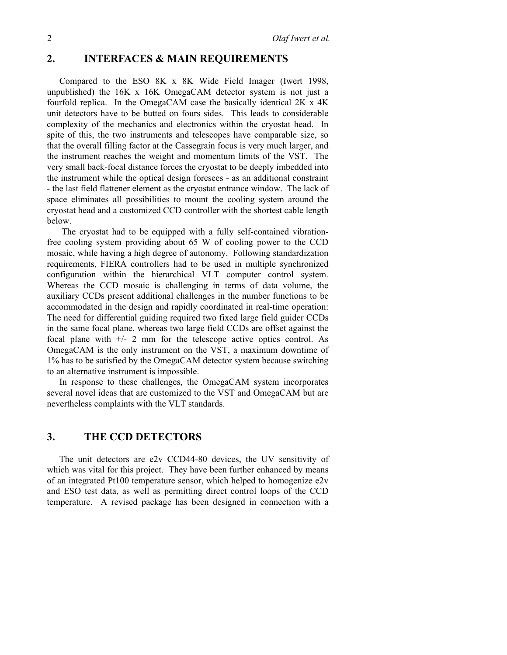#### **2. INTERFACES & MAIN REQUIREMENTS**

Compared to the ESO 8K x 8K Wide Field Imager (Iwert 1998, unpublished) the 16K x 16K OmegaCAM detector system is not just a fourfold replica. In the OmegaCAM case the basically identical 2K x 4K unit detectors have to be butted on fours sides. This leads to considerable complexity of the mechanics and electronics within the cryostat head. In spite of this, the two instruments and telescopes have comparable size, so that the overall filling factor at the Cassegrain focus is very much larger, and the instrument reaches the weight and momentum limits of the VST. The very small back-focal distance forces the cryostat to be deeply imbedded into the instrument while the optical design foresees - as an additional constraint - the last field flattener element as the cryostat entrance window. The lack of space eliminates all possibilities to mount the cooling system around the cryostat head and a customized CCD controller with the shortest cable length below.

 The cryostat had to be equipped with a fully self-contained vibrationfree cooling system providing about 65 W of cooling power to the CCD mosaic, while having a high degree of autonomy. Following standardization requirements, FIERA controllers had to be used in multiple synchronized configuration within the hierarchical VLT computer control system. Whereas the CCD mosaic is challenging in terms of data volume, the auxiliary CCDs present additional challenges in the number functions to be accommodated in the design and rapidly coordinated in real-time operation: The need for differential guiding required two fixed large field guider CCDs in the same focal plane, whereas two large field CCDs are offset against the focal plane with  $+/- 2$  mm for the telescope active optics control. As OmegaCAM is the only instrument on the VST, a maximum downtime of 1% has to be satisfied by the OmegaCAM detector system because switching to an alternative instrument is impossible.

In response to these challenges, the OmegaCAM system incorporates several novel ideas that are customized to the VST and OmegaCAM but are nevertheless complaints with the VLT standards.

# **3. THE CCD DETECTORS**

The unit detectors are e2v CCD44-80 devices, the UV sensitivity of which was vital for this project. They have been further enhanced by means of an integrated Pt100 temperature sensor, which helped to homogenize e2v and ESO test data, as well as permitting direct control loops of the CCD temperature. A revised package has been designed in connection with a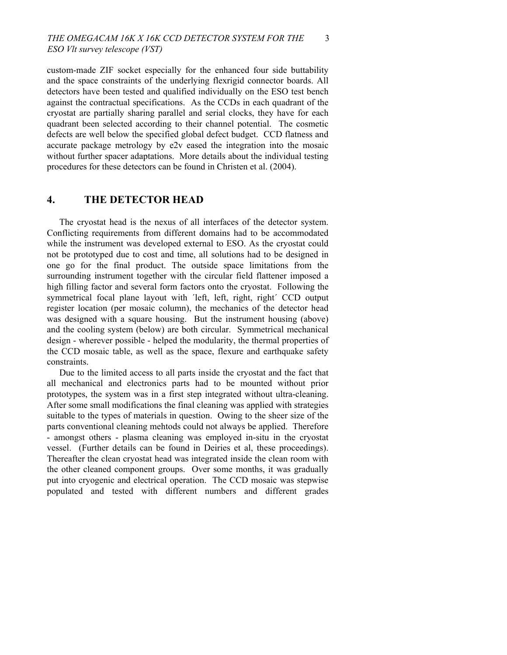custom-made ZIF socket especially for the enhanced four side buttability and the space constraints of the underlying flexrigid connector boards. All detectors have been tested and qualified individually on the ESO test bench against the contractual specifications. As the CCDs in each quadrant of the cryostat are partially sharing parallel and serial clocks, they have for each quadrant been selected according to their channel potential. The cosmetic defects are well below the specified global defect budget. CCD flatness and accurate package metrology by e2v eased the integration into the mosaic without further spacer adaptations. More details about the individual testing procedures for these detectors can be found in Christen et al. (2004).

## **4. THE DETECTOR HEAD**

The cryostat head is the nexus of all interfaces of the detector system. Conflicting requirements from different domains had to be accommodated while the instrument was developed external to ESO. As the cryostat could not be prototyped due to cost and time, all solutions had to be designed in one go for the final product. The outside space limitations from the surrounding instrument together with the circular field flattener imposed a high filling factor and several form factors onto the cryostat. Following the symmetrical focal plane layout with 'left, left, right, right' CCD output register location (per mosaic column), the mechanics of the detector head was designed with a square housing. But the instrument housing (above) and the cooling system (below) are both circular. Symmetrical mechanical design - wherever possible - helped the modularity, the thermal properties of the CCD mosaic table, as well as the space, flexure and earthquake safety constraints.

Due to the limited access to all parts inside the cryostat and the fact that all mechanical and electronics parts had to be mounted without prior prototypes, the system was in a first step integrated without ultra-cleaning. After some small modifications the final cleaning was applied with strategies suitable to the types of materials in question. Owing to the sheer size of the parts conventional cleaning mehtods could not always be applied. Therefore - amongst others - plasma cleaning was employed in-situ in the cryostat vessel. (Further details can be found in Deiries et al, these proceedings). Thereafter the clean cryostat head was integrated inside the clean room with the other cleaned component groups. Over some months, it was gradually put into cryogenic and electrical operation. The CCD mosaic was stepwise populated and tested with different numbers and different grades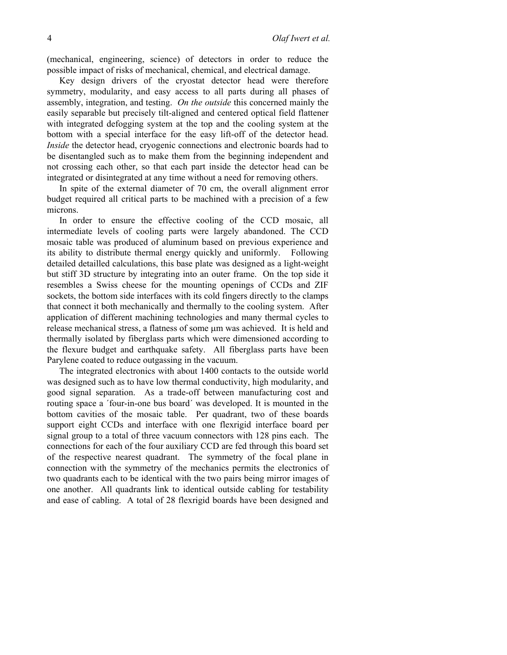(mechanical, engineering, science) of detectors in order to reduce the possible impact of risks of mechanical, chemical, and electrical damage.

Key design drivers of the cryostat detector head were therefore symmetry, modularity, and easy access to all parts during all phases of assembly, integration, and testing. *On the outside* this concerned mainly the easily separable but precisely tilt-aligned and centered optical field flattener with integrated defogging system at the top and the cooling system at the bottom with a special interface for the easy lift-off of the detector head. *Inside* the detector head, cryogenic connections and electronic boards had to be disentangled such as to make them from the beginning independent and not crossing each other, so that each part inside the detector head can be integrated or disintegrated at any time without a need for removing others.

In spite of the external diameter of 70 cm, the overall alignment error budget required all critical parts to be machined with a precision of a few microns.

In order to ensure the effective cooling of the CCD mosaic, all intermediate levels of cooling parts were largely abandoned. The CCD mosaic table was produced of aluminum based on previous experience and its ability to distribute thermal energy quickly and uniformly. Following detailed detailled calculations, this base plate was designed as a light-weight but stiff 3D structure by integrating into an outer frame. On the top side it resembles a Swiss cheese for the mounting openings of CCDs and ZIF sockets, the bottom side interfaces with its cold fingers directly to the clamps that connect it both mechanically and thermally to the cooling system. After application of different machining technologies and many thermal cycles to release mechanical stress, a flatness of some  $\mu$ m was achieved. It is held and thermally isolated by fiberglass parts which were dimensioned according to the flexure budget and earthquake safety. All fiberglass parts have been Parylene coated to reduce outgassing in the vacuum.

The integrated electronics with about 1400 contacts to the outside world was designed such as to have low thermal conductivity, high modularity, and good signal separation. As a trade-off between manufacturing cost and routing space a ´four-in-one bus board´ was developed. It is mounted in the bottom cavities of the mosaic table. Per quadrant, two of these boards support eight CCDs and interface with one flexrigid interface board per signal group to a total of three vacuum connectors with 128 pins each. The connections for each of the four auxiliary CCD are fed through this board set of the respective nearest quadrant. The symmetry of the focal plane in connection with the symmetry of the mechanics permits the electronics of two quadrants each to be identical with the two pairs being mirror images of one another. All quadrants link to identical outside cabling for testability and ease of cabling. A total of 28 flexrigid boards have been designed and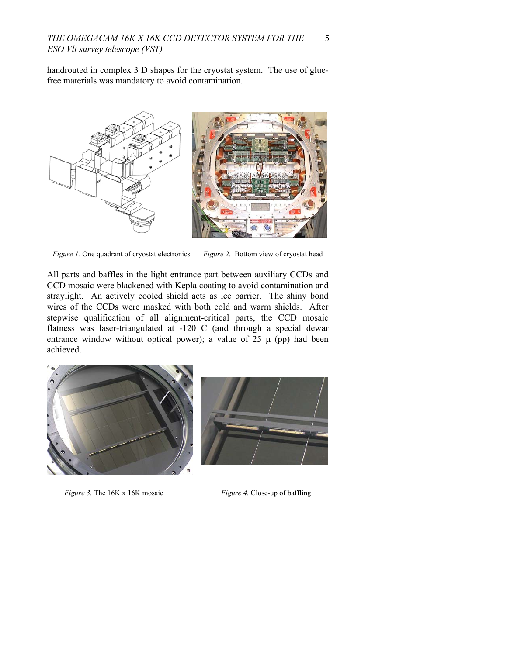handrouted in complex 3 D shapes for the cryostat system. The use of gluefree materials was mandatory to avoid contamination.



*Figure 1.* One quadrant of cryostat electronics *Figure 2.* Bottom view of cryostat head

All parts and baffles in the light entrance part between auxiliary CCDs and CCD mosaic were blackened with Kepla coating to avoid contamination and straylight. An actively cooled shield acts as ice barrier. The shiny bond wires of the CCDs were masked with both cold and warm shields. After stepwise qualification of all alignment-critical parts, the CCD mosaic flatness was laser-triangulated at -120 C (and through a special dewar entrance window without optical power); a value of  $25 \mu$  (pp) had been achieved.



*Figure 3.* The 16K x 16K mosaic *Figure 4.* Close-up of baffling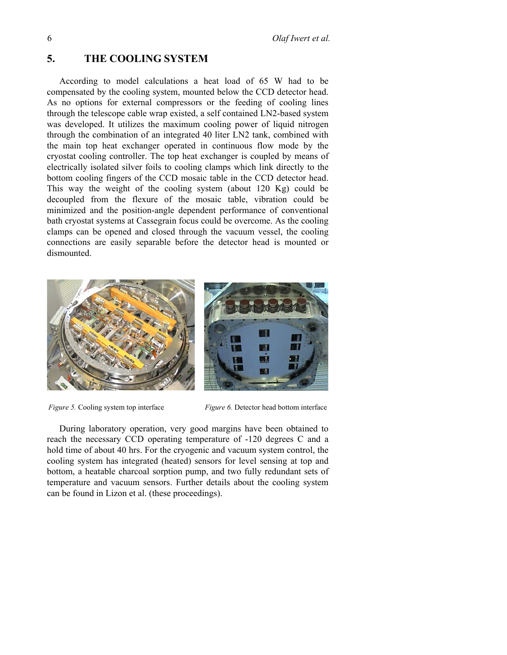#### **5. THE COOLING SYSTEM**

According to model calculations a heat load of 65 W had to be compensated by the cooling system, mounted below the CCD detector head. As no options for external compressors or the feeding of cooling lines through the telescope cable wrap existed, a self contained LN2-based system was developed. It utilizes the maximum cooling power of liquid nitrogen through the combination of an integrated 40 liter LN2 tank, combined with the main top heat exchanger operated in continuous flow mode by the cryostat cooling controller. The top heat exchanger is coupled by means of electrically isolated silver foils to cooling clamps which link directly to the bottom cooling fingers of the CCD mosaic table in the CCD detector head. This way the weight of the cooling system (about 120 Kg) could be decoupled from the flexure of the mosaic table, vibration could be minimized and the position-angle dependent performance of conventional bath cryostat systems at Cassegrain focus could be overcome. As the cooling clamps can be opened and closed through the vacuum vessel, the cooling connections are easily separable before the detector head is mounted or dismounted.



*Figure 5.* Cooling system top interface *Figure 6.* Detector head bottom interface

During laboratory operation, very good margins have been obtained to reach the necessary CCD operating temperature of -120 degrees C and a hold time of about 40 hrs. For the cryogenic and vacuum system control, the cooling system has integrated (heated) sensors for level sensing at top and bottom, a heatable charcoal sorption pump, and two fully redundant sets of temperature and vacuum sensors. Further details about the cooling system can be found in Lizon et al. (these proceedings).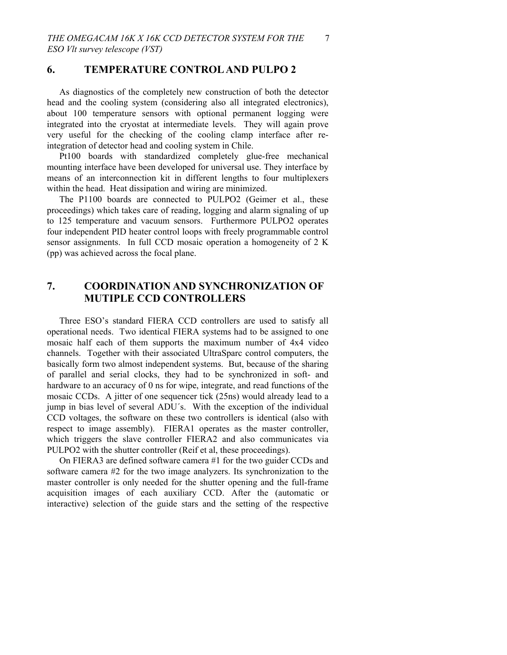#### **6. TEMPERATURE CONTROL AND PULPO 2**

As diagnostics of the completely new construction of both the detector head and the cooling system (considering also all integrated electronics), about 100 temperature sensors with optional permanent logging were integrated into the cryostat at intermediate levels. They will again prove very useful for the checking of the cooling clamp interface after reintegration of detector head and cooling system in Chile.

Pt100 boards with standardized completely glue-free mechanical mounting interface have been developed for universal use. They interface by means of an interconnection kit in different lengths to four multiplexers within the head. Heat dissipation and wiring are minimized.

The P1100 boards are connected to PULPO2 (Geimer et al., these proceedings) which takes care of reading, logging and alarm signaling of up to 125 temperature and vacuum sensors. Furthermore PULPO2 operates four independent PID heater control loops with freely programmable control sensor assignments. In full CCD mosaic operation a homogeneity of 2 K (pp) was achieved across the focal plane.

## **7. COORDINATION AND SYNCHRONIZATION OF MUTIPLE CCD CONTROLLERS**

Three ESO's standard FIERA CCD controllers are used to satisfy all operational needs. Two identical FIERA systems had to be assigned to one mosaic half each of them supports the maximum number of 4x4 video channels. Together with their associated UltraSparc control computers, the basically form two almost independent systems. But, because of the sharing of parallel and serial clocks, they had to be synchronized in soft- and hardware to an accuracy of 0 ns for wipe, integrate, and read functions of the mosaic CCDs. A jitter of one sequencer tick (25ns) would already lead to a jump in bias level of several ADU´s. With the exception of the individual CCD voltages, the software on these two controllers is identical (also with respect to image assembly). FIERA1 operates as the master controller, which triggers the slave controller FIERA2 and also communicates via PULPO2 with the shutter controller (Reif et al, these proceedings).

On FIERA3 are defined software camera #1 for the two guider CCDs and software camera #2 for the two image analyzers. Its synchronization to the master controller is only needed for the shutter opening and the full-frame acquisition images of each auxiliary CCD. After the (automatic or interactive) selection of the guide stars and the setting of the respective